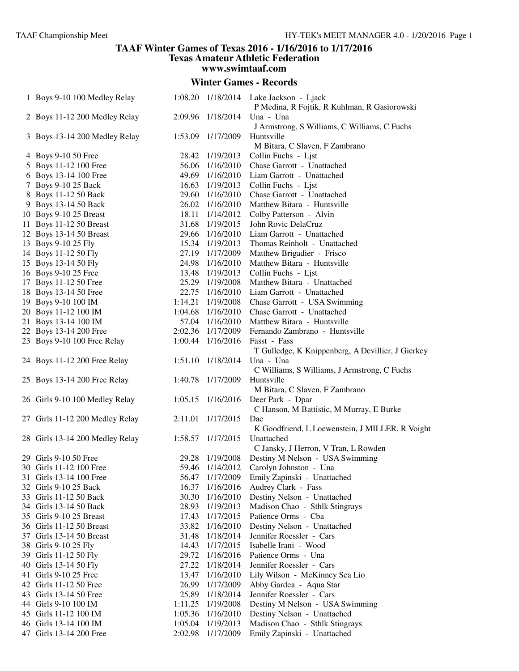| 1 Boys 9-10 100 Medley Relay                     |         |                   | 1:08.20 1/18/2014 Lake Jackson - Ljack<br>P Medina, R Fojtik, R Kuhlman, R Gasiorowski |
|--------------------------------------------------|---------|-------------------|----------------------------------------------------------------------------------------|
| 2 Boys 11-12 200 Medley Relay                    | 2:09.96 | 1/18/2014         | Una - Una                                                                              |
|                                                  |         |                   | J Armstrong, S Williams, C Williams, C Fuchs                                           |
| 3 Boys 13-14 200 Medley Relay                    | 1:53.09 | 1/17/2009         | Huntsville                                                                             |
|                                                  |         |                   | M Bitara, C Slaven, F Zambrano                                                         |
| 4 Boys 9-10 50 Free                              | 28.42   | 1/19/2013         | Collin Fuchs - Ljst                                                                    |
| 5 Boys 11-12 100 Free                            | 56.06   | 1/16/2010         | Chase Garrott - Unattached                                                             |
| 6 Boys 13-14 100 Free                            |         | 49.69 1/16/2010   | Liam Garrott - Unattached                                                              |
| 7 Boys 9-10 25 Back                              | 16.63   | 1/19/2013         | Collin Fuchs - Ljst                                                                    |
| 8 Boys 11-12 50 Back                             | 29.60   | 1/16/2010         | Chase Garrott - Unattached                                                             |
| 9 Boys 13-14 50 Back                             |         | 26.02 1/16/2010   | Matthew Bitara - Huntsville                                                            |
| 10 Boys 9-10 25 Breast                           |         | 18.11 1/14/2012   | Colby Patterson - Alvin                                                                |
| 11 Boys 11-12 50 Breast                          |         | 31.68 1/19/2015   | John Rovic DelaCruz                                                                    |
| 12 Boys 13-14 50 Breast                          |         | 29.66 1/16/2010   | Liam Garrott - Unattached                                                              |
| 13 Boys 9-10 25 Fly                              |         | 15.34 1/19/2013   | Thomas Reinholt - Unattached                                                           |
| 14 Boys 11-12 50 Fly                             |         | 27.19 1/17/2009   | Matthew Brigadier - Frisco                                                             |
| 15 Boys 13-14 50 Fly                             | 24.98   | 1/16/2010         | Matthew Bitara - Huntsville                                                            |
| 16 Boys 9-10 25 Free                             |         | 13.48 1/19/2013   | Collin Fuchs - Ljst                                                                    |
| 17 Boys 11-12 50 Free                            |         | 25.29 1/19/2008   | Matthew Bitara - Unattached                                                            |
| 18 Boys 13-14 50 Free                            |         | 22.75 1/16/2010   | Liam Garrott - Unattached                                                              |
| 19 Boys 9-10 100 IM                              | 1:14.21 | 1/19/2008         | Chase Garrott - USA Swimming                                                           |
| 20 Boys 11-12 100 IM                             | 1:04.68 | 1/16/2010         | Chase Garrott - Unattached                                                             |
| 21 Boys 13-14 100 IM                             |         | 57.04 1/16/2010   | Matthew Bitara - Huntsville                                                            |
| 22 Boys 13-14 200 Free                           |         | 2:02.36 1/17/2009 | Fernando Zambrano - Huntsville                                                         |
| 23 Boys 9-10 100 Free Relay                      |         | 1:00.44 1/16/2016 | Fasst - Fass                                                                           |
|                                                  |         |                   | T Gulledge, K Knippenberg, A Devillier, J Gierkey                                      |
| 24 Boys 11-12 200 Free Relay                     | 1:51.10 | 1/18/2014         | Una - Una                                                                              |
|                                                  |         |                   | C Williams, S Williams, J Armstrong, C Fuchs                                           |
| 25 Boys 13-14 200 Free Relay                     | 1:40.78 | 1/17/2009         | Huntsville                                                                             |
|                                                  |         |                   | M Bitara, C Slaven, F Zambrano                                                         |
| 26 Girls 9-10 100 Medley Relay                   |         | 1:05.15 1/16/2016 | Deer Park - Dpar                                                                       |
|                                                  |         |                   | C Hanson, M Battistic, M Murray, E Burke                                               |
| 27 Girls 11-12 200 Medley Relay                  | 2:11.01 | 1/17/2015         | Dac                                                                                    |
|                                                  |         |                   | K Goodfriend, L Loewenstein, J MILLER, R Voight                                        |
| 28 Girls 13-14 200 Medley Relay                  | 1:58.57 | 1/17/2015         | Unattached                                                                             |
|                                                  |         |                   |                                                                                        |
|                                                  |         |                   | C Jansky, J Herron, V Tran, L Rowden                                                   |
| 29 Girls 9-10 50 Free<br>30 Girls 11-12 100 Free | 29.28   | 1/19/2008         | Destiny M Nelson - USA Swimming                                                        |
|                                                  | 59.46   | 1/14/2012         | Carolyn Johnston - Una                                                                 |
| 31 Girls 13-14 100 Free                          | 56.47   | 1/17/2009         | Emily Zapinski - Unattached                                                            |
| 32 Girls 9-10 25 Back                            | 16.37   | 1/16/2016         | Audrey Clark - Fass                                                                    |
| 33 Girls 11-12 50 Back                           | 30.30   | 1/16/2010         | Destiny Nelson - Unattached                                                            |
| 34 Girls 13-14 50 Back                           | 28.93   | 1/19/2013         | Madison Chao - Sthlk Stingrays                                                         |
| 35 Girls 9-10 25 Breast                          | 17.43   | 1/17/2015         | Patience Orms - Cba                                                                    |
| 36 Girls 11-12 50 Breast                         | 33.82   | 1/16/2010         | Destiny Nelson - Unattached                                                            |
| 37 Girls 13-14 50 Breast                         | 31.48   | 1/18/2014         | Jennifer Roessler - Cars                                                               |
| 38 Girls 9-10 25 Fly                             | 14.43   | 1/17/2015         | Isabelle Irani - Wood                                                                  |
| 39 Girls 11-12 50 Fly                            | 29.72   | 1/16/2016         | Patience Orms - Una                                                                    |
| 40 Girls 13-14 50 Fly                            | 27.22   | 1/18/2014         | Jennifer Roessler - Cars                                                               |
| 41 Girls 9-10 25 Free                            | 13.47   | 1/16/2010         | Lily Wilson - McKinney Sea Lio                                                         |
| 42 Girls 11-12 50 Free                           | 26.99   | 1/17/2009         | Abby Gardea - Aqua Star                                                                |
| 43 Girls 13-14 50 Free                           |         | 25.89 1/18/2014   | Jennifer Roessler - Cars                                                               |
| 44 Girls 9-10 100 IM                             |         | 1:11.25 1/19/2008 | Destiny M Nelson - USA Swimming                                                        |
| 45 Girls 11-12 100 IM                            | 1:05.36 | 1/16/2010         | Destiny Nelson - Unattached                                                            |
| 46 Girls 13-14 100 IM                            |         | 1:05.04 1/19/2013 | Madison Chao - Sthlk Stingrays                                                         |
| 47 Girls 13-14 200 Free                          |         | 2:02.98 1/17/2009 | Emily Zapinski - Unattached                                                            |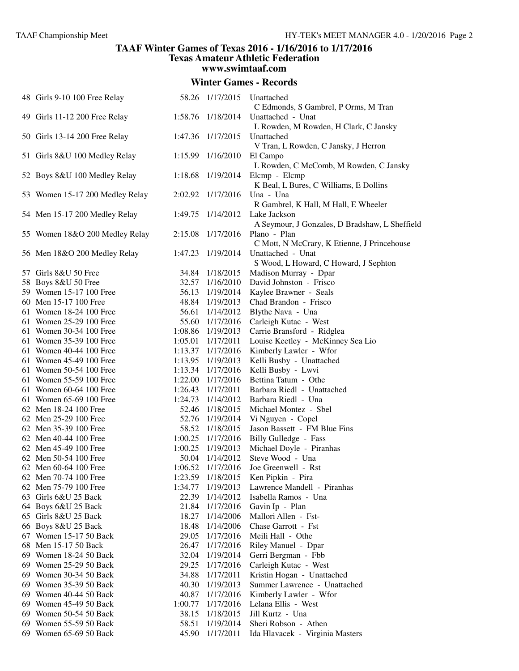| 48 Girls 9-10 100 Free Relay    |         | 58.26 1/17/2015   | Unattached                                                     |
|---------------------------------|---------|-------------------|----------------------------------------------------------------|
|                                 |         |                   | C Edmonds, S Gambrel, P Orms, M Tran                           |
| 49 Girls 11-12 200 Free Relay   | 1:58.76 | 1/18/2014         | Unattached - Unat                                              |
|                                 |         |                   | L Rowden, M Rowden, H Clark, C Jansky                          |
| 50 Girls 13-14 200 Free Relay   | 1:47.36 | 1/17/2015         | Unattached                                                     |
|                                 |         |                   | V Tran, L Rowden, C Jansky, J Herron                           |
| 51 Girls 8&U 100 Medley Relay   | 1:15.99 | 1/16/2010         | El Campo                                                       |
|                                 |         |                   | L Rowden, C McComb, M Rowden, C Jansky                         |
| 52 Boys 8&U 100 Medley Relay    | 1:18.68 | 1/19/2014         | Elcmp - Elcmp                                                  |
|                                 |         |                   | K Beal, L Bures, C Williams, E Dollins                         |
| 53 Women 15-17 200 Medley Relay | 2:02.92 | 1/17/2016         | Una - Una                                                      |
|                                 |         |                   | R Gambrel, K Hall, M Hall, E Wheeler                           |
| 54 Men 15-17 200 Medley Relay   | 1:49.75 | 1/14/2012         | Lake Jackson<br>A Seymour, J Gonzales, D Bradshaw, L Sheffield |
| 55 Women 18&O 200 Medley Relay  | 2:15.08 | 1/17/2016         | Plano - Plan                                                   |
|                                 |         |                   | C Mott, N McCrary, K Etienne, J Princehouse                    |
| 56 Men 18&O 200 Medley Relay    | 1:47.23 | 1/19/2014         | Unattached - Unat                                              |
|                                 |         |                   | S Wood, L Howard, C Howard, J Sephton                          |
| 57 Girls 8&U 50 Free            | 34.84   | 1/18/2015         | Madison Murray - Dpar                                          |
| 58 Boys 8&U 50 Free             | 32.57   | 1/16/2010         | David Johnston - Frisco                                        |
| 59 Women 15-17 100 Free         | 56.13   | 1/19/2014         | Kaylee Brawner - Seals                                         |
| 60 Men 15-17 100 Free           | 48.84   | 1/19/2013         | Chad Brandon - Frisco                                          |
| 61 Women 18-24 100 Free         | 56.61   | 1/14/2012         | Blythe Nava - Una                                              |
| 61 Women 25-29 100 Free         | 55.60   | 1/17/2016         | Carleigh Kutac - West                                          |
| 61 Women 30-34 100 Free         | 1:08.86 | 1/19/2013         | Carrie Bransford - Ridglea                                     |
| 61 Women 35-39 100 Free         | 1:05.01 | 1/17/2011         | Louise Keetley - McKinney Sea Lio                              |
| 61 Women 40-44 100 Free         | 1:13.37 | 1/17/2016         | Kimberly Lawler - Wfor                                         |
| 61 Women 45-49 100 Free         |         | 1:13.95 1/19/2013 | Kelli Busby - Unattached                                       |
| 61 Women 50-54 100 Free         | 1:13.34 | 1/17/2016         | Kelli Busby - Lwvi                                             |
| 61 Women 55-59 100 Free         | 1:22.00 | 1/17/2016         | Bettina Tatum - Othe                                           |
| 61 Women 60-64 100 Free         | 1:26.43 | 1/17/2011         | Barbara Riedl - Unattached                                     |
| 61 Women 65-69 100 Free         | 1:24.73 | 1/14/2012         | Barbara Riedl - Una                                            |
| 62 Men 18-24 100 Free           | 52.46   | 1/18/2015         | Michael Montez - Sbel                                          |
| 62 Men 25-29 100 Free           | 52.76   | 1/19/2014         | Vi Nguyen - Copel                                              |
| 62 Men 35-39 100 Free           | 58.52   | 1/18/2015         | Jason Bassett - FM Blue Fins                                   |
| 62 Men 40-44 100 Free           | 1:00.25 | 1/17/2016         | Billy Gulledge - Fass                                          |
| 62 Men 45-49 100 Free           | 1:00.25 | 1/19/2013         | Michael Doyle - Piranhas                                       |
| 62 Men 50-54 100 Free           | 50.04   | 1/14/2012         | Steve Wood - Una                                               |
| 62 Men 60-64 100 Free           | 1:06.52 | 1/17/2016         | Joe Greenwell - Rst                                            |
| 62 Men 70-74 100 Free           | 1:23.59 | 1/18/2015         | Ken Pipkin - Pira                                              |
| 62 Men 75-79 100 Free           | 1:34.77 | 1/19/2013         | Lawrence Mandell - Piranhas                                    |
| 63 Girls 6&U 25 Back            | 22.39   | 1/14/2012         | Isabella Ramos - Una                                           |
| 64 Boys 6&U 25 Back             | 21.84   | 1/17/2016         | Gavin Ip - Plan                                                |
| 65 Girls 8&U 25 Back            | 18.27   | 1/14/2006         | Mallori Allen - Fst-                                           |
| 66 Boys 8&U 25 Back             | 18.48   | 1/14/2006         | Chase Garrott - Fst                                            |
| 67 Women 15-17 50 Back          | 29.05   | 1/17/2016         | Meili Hall - Othe                                              |
| 68 Men 15-17 50 Back            | 26.47   | 1/17/2016         | Riley Manuel - Dpar                                            |
| 69 Women 18-24 50 Back          | 32.04   | 1/19/2014         | Gerri Bergman - Fbb                                            |
| 69 Women 25-29 50 Back          | 29.25   | 1/17/2016         | Carleigh Kutac - West                                          |
| 69 Women 30-34 50 Back          | 34.88   | 1/17/2011         | Kristin Hogan - Unattached                                     |
| 69 Women 35-39 50 Back          | 40.30   | 1/19/2013         | Summer Lawrence - Unattached                                   |
| 69 Women 40-44 50 Back          | 40.87   | 1/17/2016         | Kimberly Lawler - Wfor                                         |
| 69 Women 45-49 50 Back          | 1:00.77 | 1/17/2016         | Lelana Ellis - West                                            |
| 69 Women 50-54 50 Back          | 38.15   | 1/18/2015         | Jill Kurtz - Una                                               |
| 69 Women 55-59 50 Back          | 58.51   | 1/19/2014         | Sheri Robson - Athen                                           |
| 69 Women 65-69 50 Back          | 45.90   | 1/17/2011         | Ida Hlavacek - Virginia Masters                                |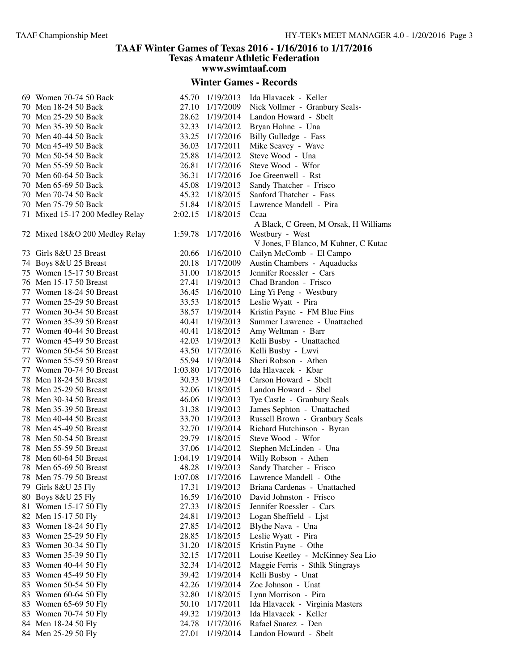| 69 Women 70-74 50 Back          | 45.70   | 1/19/2013         | Ida Hlavacek - Keller                 |
|---------------------------------|---------|-------------------|---------------------------------------|
| 70 Men 18-24 50 Back            |         | 27.10 1/17/2009   | Nick Vollmer - Granbury Seals-        |
| 70 Men 25-29 50 Back            |         | 28.62 1/19/2014   | Landon Howard - Sbelt                 |
| 70 Men 35-39 50 Back            |         | 32.33 1/14/2012   | Bryan Hohne - Una                     |
| 70 Men 40-44 50 Back            |         | 33.25 1/17/2016   | Billy Gulledge - Fass                 |
| 70 Men 45-49 50 Back            |         | 36.03 1/17/2011   | Mike Seavey - Wave                    |
| 70 Men 50-54 50 Back            |         | 25.88 1/14/2012   | Steve Wood - Una                      |
| 70 Men 55-59 50 Back            | 26.81   | 1/17/2016         | Steve Wood - Wfor                     |
| 70 Men 60-64 50 Back            |         | 36.31 1/17/2016   | Joe Greenwell - Rst                   |
| 70 Men 65-69 50 Back            |         | 45.08 1/19/2013   | Sandy Thatcher - Frisco               |
| 70 Men 70-74 50 Back            |         | 45.32 1/18/2015   | Sanford Thatcher - Fass               |
| 70 Men 75-79 50 Back            |         | 51.84 1/18/2015   | Lawrence Mandell - Pira               |
| 71 Mixed 15-17 200 Medley Relay | 2:02.15 | 1/18/2015         | Ccaa                                  |
|                                 |         |                   | A Black, C Green, M Orsak, H Williams |
| 72 Mixed 18&O 200 Medley Relay  | 1:59.78 | 1/17/2016         | Westbury - West                       |
|                                 |         |                   | V Jones, F Blanco, M Kuhner, C Kutac  |
| 73 Girls 8&U 25 Breast          | 20.66   | 1/16/2010         | Cailyn McComb - El Campo              |
| 74 Boys 8&U 25 Breast           | 20.18   | 1/17/2009         | Austin Chambers - Aquaducks           |
| 75 Women 15-17 50 Breast        |         | 31.00 1/18/2015   | Jennifer Roessler - Cars              |
| 76 Men 15-17 50 Breast          | 27.41   | 1/19/2013         | Chad Brandon - Frisco                 |
| 77 Women 18-24 50 Breast        |         | 36.45 1/16/2010   | Ling Yi Peng - Westbury               |
| 77 Women 25-29 50 Breast        |         | 33.53 1/18/2015   | Leslie Wyatt - Pira                   |
| 77 Women 30-34 50 Breast        |         | 38.57 1/19/2014   | Kristin Payne - FM Blue Fins          |
| 77 Women 35-39 50 Breast        |         | 40.41 1/19/2013   | Summer Lawrence - Unattached          |
| 77 Women 40-44 50 Breast        |         | 40.41 1/18/2015   | Amy Weltman - Barr                    |
| 77 Women 45-49 50 Breast        |         | 42.03 1/19/2013   | Kelli Busby - Unattached              |
| 77 Women 50-54 50 Breast        |         | 43.50 1/17/2016   | Kelli Busby - Lwvi                    |
| 77 Women 55-59 50 Breast        |         | 55.94 1/19/2014   | Sheri Robson - Athen                  |
| 77 Women 70-74 50 Breast        |         | 1:03.80 1/17/2016 | Ida Hlavacek - Kbar                   |
| 78 Men 18-24 50 Breast          |         | 30.33 1/19/2014   | Carson Howard - Sbelt                 |
| 78 Men 25-29 50 Breast          |         | 32.06 1/18/2015   | Landon Howard - Sbel                  |
| 78 Men 30-34 50 Breast          | 46.06   | 1/19/2013         | Tye Castle - Granbury Seals           |
| 78 Men 35-39 50 Breast          |         | 31.38 1/19/2013   | James Sephton - Unattached            |
| 78 Men 40-44 50 Breast          |         | 33.70 1/19/2013   | Russell Brown - Granbury Seals        |
| 78 Men 45-49 50 Breast          |         | 32.70 1/19/2014   | Richard Hutchinson - Byran            |
| 78 Men 50-54 50 Breast          |         | 29.79 1/18/2015   | Steve Wood - Wfor                     |
| 78 Men 55-59 50 Breast          |         | 37.06 1/14/2012   | Stephen McLinden - Una                |
| 78 Men 60-64 50 Breast          | 1:04.19 | 1/19/2014         | Willy Robson - Athen                  |
| 78 Men 65-69 50 Breast          | 48.28   | 1/19/2013         | Sandy Thatcher - Frisco               |
| 78 Men 75-79 50 Breast          | 1:07.08 | 1/17/2016         | Lawrence Mandell - Othe               |
| 79 Girls 8&U 25 Fly             | 17.31   | 1/19/2013         | Briana Cardenas - Unattached          |
| 80 Boys 8&U 25 Fly              | 16.59   | 1/16/2010         | David Johnston - Frisco               |
| 81 Women 15-17 50 Fly           | 27.33   | 1/18/2015         | Jennifer Roessler - Cars              |
| 82 Men 15-17 50 Fly             | 24.81   | 1/19/2013         | Logan Sheffield - Ljst                |
| 83 Women 18-24 50 Fly           | 27.85   | 1/14/2012         | Blythe Nava - Una                     |
| 83 Women 25-29 50 Fly           | 28.85   | 1/18/2015         | Leslie Wyatt - Pira                   |
| 83 Women 30-34 50 Fly           | 31.20   | 1/18/2015         | Kristin Payne - Othe                  |
| 83 Women 35-39 50 Fly           | 32.15   | 1/17/2011         | Louise Keetley - McKinney Sea Lio     |
| 83 Women 40-44 50 Fly           | 32.34   | 1/14/2012         | Maggie Ferris - Sthlk Stingrays       |
| 83 Women 45-49 50 Fly           | 39.42   | 1/19/2014         | Kelli Busby - Unat                    |
| 83 Women 50-54 50 Fly           | 42.26   | 1/19/2014         | Zoe Johnson - Unat                    |
| 83 Women 60-64 50 Fly           | 32.80   | 1/18/2015         | Lynn Morrison - Pira                  |
| 83 Women 65-69 50 Fly           | 50.10   | 1/17/2011         | Ida Hlavacek - Virginia Masters       |
| 83 Women 70-74 50 Fly           | 49.32   | 1/19/2013         | Ida Hlavacek - Keller                 |
| 84 Men 18-24 50 Fly             | 24.78   | 1/17/2016         | Rafael Suarez - Den                   |
| 84 Men 25-29 50 Fly             | 27.01   | 1/19/2014         | Landon Howard - Sbelt                 |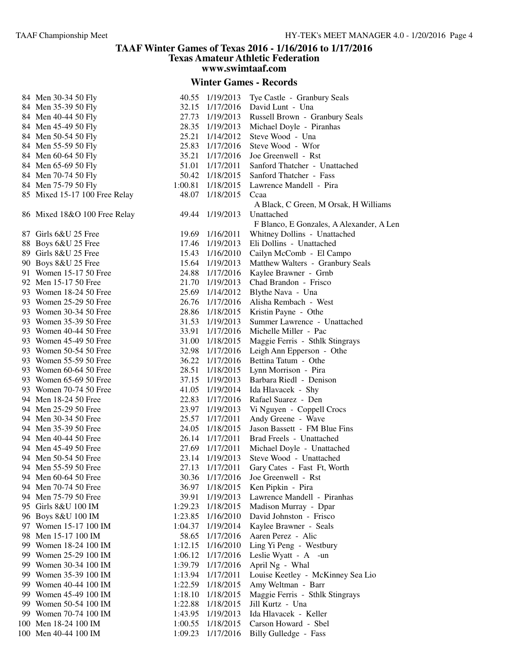| 84 Men 30-34 50 Fly           | 40.55   | 1/19/2013              | Tye Castle - Granbury Seals                      |
|-------------------------------|---------|------------------------|--------------------------------------------------|
| 84 Men 35-39 50 Fly           |         | 32.15 1/17/2016        | David Lunt - Una                                 |
| 84 Men 40-44 50 Fly           |         | 27.73 1/19/2013        | Russell Brown - Granbury Seals                   |
| 84 Men 45-49 50 Fly           |         | 28.35 1/19/2013        | Michael Doyle - Piranhas                         |
| 84 Men 50-54 50 Fly           | 25.21   | 1/14/2012              | Steve Wood - Una                                 |
| 84 Men 55-59 50 Fly           |         | 25.83 1/17/2016        | Steve Wood - Wfor                                |
| 84 Men 60-64 50 Fly           | 35.21   | 1/17/2016              | Joe Greenwell - Rst                              |
| 84 Men 65-69 50 Fly           | 51.01   | 1/17/2011              | Sanford Thatcher - Unattached                    |
| 84 Men 70-74 50 Fly           | 50.42   | 1/18/2015              | Sanford Thatcher - Fass                          |
| 84 Men 75-79 50 Fly           | 1:00.81 | 1/18/2015              | Lawrence Mandell - Pira                          |
| 85 Mixed 15-17 100 Free Relay | 48.07   | 1/18/2015              | Ccaa                                             |
|                               |         |                        | A Black, C Green, M Orsak, H Williams            |
| 86 Mixed 18&O 100 Free Relay  | 49.44   | 1/19/2013              | Unattached                                       |
|                               |         |                        | F Blanco, E Gonzales, A Alexander, A Len         |
| 87 Girls 6&U 25 Free          | 19.69   | 1/16/2011              | Whitney Dollins - Unattached                     |
| 88 Boys 6&U 25 Free           |         | 17.46 1/19/2013        | Eli Dollins - Unattached                         |
| 89 Girls 8&U 25 Free          |         | 15.43 1/16/2010        | Cailyn McComb - El Campo                         |
| 90 Boys 8&U 25 Free           |         | 15.64 1/19/2013        | Matthew Walters - Granbury Seals                 |
| 91 Women 15-17 50 Free        |         | 24.88 1/17/2016        | Kaylee Brawner - Grnb                            |
| 92 Men 15-17 50 Free          |         | 21.70 1/19/2013        | Chad Brandon - Frisco                            |
| 93 Women 18-24 50 Free        | 25.69   | 1/14/2012              | Blythe Nava - Una                                |
| 93 Women 25-29 50 Free        | 26.76   | 1/17/2016              | Alisha Rembach - West                            |
| 93 Women 30-34 50 Free        |         | 28.86 1/18/2015        | Kristin Payne - Othe                             |
| 93 Women 35-39 50 Free        | 31.53   | 1/19/2013              | Summer Lawrence - Unattached                     |
| 93 Women 40-44 50 Free        | 33.91   | 1/17/2016              | Michelle Miller - Pac                            |
| 93 Women 45-49 50 Free        |         | 31.00 1/18/2015        | Maggie Ferris - Sthlk Stingrays                  |
| 93 Women 50-54 50 Free        |         | 32.98 1/17/2016        | Leigh Ann Epperson - Othe                        |
| 93 Women 55-59 50 Free        | 36.22   | 1/17/2016              | Bettina Tatum - Othe                             |
| 93 Women 60-64 50 Free        | 28.51   | 1/18/2015              | Lynn Morrison - Pira                             |
| 93 Women 65-69 50 Free        | 37.15   | 1/19/2013              | Barbara Riedl - Denison                          |
| 93 Women 70-74 50 Free        | 41.05   | 1/19/2014              | Ida Hlavacek - Shy                               |
| 94 Men 18-24 50 Free          | 22.83   | 1/17/2016              | Rafael Suarez - Den                              |
| 94 Men 25-29 50 Free          | 23.97   | 1/19/2013              | Vi Nguyen - Coppell Crocs                        |
| 94 Men 30-34 50 Free          | 25.57   | 1/17/2011              | Andy Greene - Wave                               |
| 94 Men 35-39 50 Free          | 24.05   | 1/18/2015              | Jason Bassett - FM Blue Fins                     |
| 94 Men 40-44 50 Free          |         | 26.14 1/17/2011        | Brad Freels - Unattached                         |
| 94 Men 45-49 50 Free          |         | 27.69 1/17/2011        | Michael Doyle - Unattached                       |
| 94 Men 50-54 50 Free          | 23.14   | 1/19/2013              | Steve Wood - Unattached                          |
| 94 Men 55-59 50 Free          | 27.13   | 1/17/2011              | Gary Cates - Fast Ft, Worth                      |
| 94 Men 60-64 50 Free          | 30.36   | 1/17/2016              | Joe Greenwell - Rst                              |
| 94 Men 70-74 50 Free          | 36.97   | 1/18/2015              | Ken Pipkin - Pira                                |
| 94 Men 75-79 50 Free          | 39.91   | 1/19/2013              | Lawrence Mandell - Piranhas                      |
| 95 Girls 8&U 100 IM           | 1:29.23 |                        |                                                  |
| 96 Boys 8&U 100 IM            | 1:23.85 | 1/18/2015<br>1/16/2010 | Madison Murray - Dpar<br>David Johnston - Frisco |
| 97 Women 15-17 100 IM         | 1:04.37 | 1/19/2014              | Kaylee Brawner - Seals                           |
| 98 Men 15-17 100 IM           | 58.65   |                        | Aaren Perez - Alic                               |
|                               |         | 1/17/2016              |                                                  |
| 99 Women 18-24 100 IM         | 1:12.15 | 1/16/2010              | Ling Yi Peng - Westbury                          |
| 99 Women 25-29 100 IM         | 1:06.12 | 1/17/2016              | Leslie Wyatt - A -un                             |
| 99 Women 30-34 100 IM         | 1:39.79 | 1/17/2016              | April Ng - Whal                                  |
| 99 Women 35-39 100 IM         | 1:13.94 | 1/17/2011              | Louise Keetley - McKinney Sea Lio                |
| 99 Women 40-44 100 IM         | 1:22.59 | 1/18/2015              | Amy Weltman - Barr                               |
| 99 Women 45-49 100 IM         | 1:18.10 | 1/18/2015              | Maggie Ferris - Sthlk Stingrays                  |
| 99 Women 50-54 100 IM         | 1:22.88 | 1/18/2015              | Jill Kurtz - Una                                 |
| 99 Women 70-74 100 IM         | 1:43.95 | 1/19/2013              | Ida Hlavacek - Keller                            |
| 100 Men 18-24 100 IM          | 1:00.55 | 1/18/2015              | Carson Howard - Sbel                             |
| 100 Men 40-44 100 IM          | 1:09.23 | 1/17/2016              | Billy Gulledge - Fass                            |